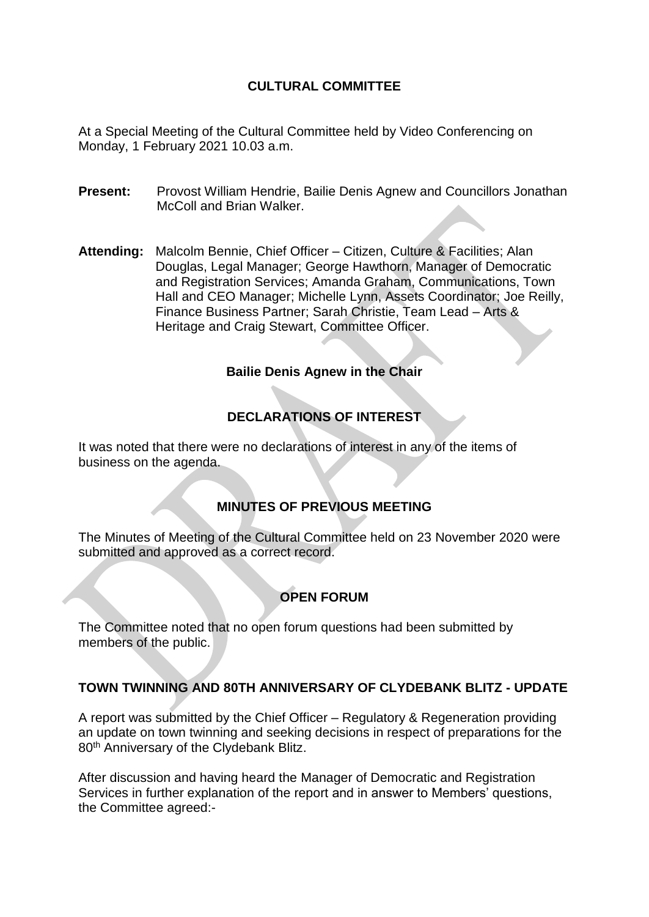# **CULTURAL COMMITTEE**

At a Special Meeting of the Cultural Committee held by Video Conferencing on Monday, 1 February 2021 10.03 a.m.

- **Present:** Provost William Hendrie, Bailie Denis Agnew and Councillors Jonathan McColl and Brian Walker.
- **Attending:** Malcolm Bennie, Chief Officer Citizen, Culture & Facilities; Alan Douglas, Legal Manager; George Hawthorn, Manager of Democratic and Registration Services; Amanda Graham, Communications, Town Hall and CEO Manager; Michelle Lynn, Assets Coordinator; Joe Reilly, Finance Business Partner; Sarah Christie, Team Lead – Arts & Heritage and Craig Stewart, Committee Officer.

#### **Bailie Denis Agnew in the Chair**

# **DECLARATIONS OF INTEREST**

It was noted that there were no declarations of interest in any of the items of business on the agenda.

## **MINUTES OF PREVIOUS MEETING**

The Minutes of Meeting of the Cultural Committee held on 23 November 2020 were submitted and approved as a correct record.

## **OPEN FORUM**

The Committee noted that no open forum questions had been submitted by members of the public.

#### **TOWN TWINNING AND 80TH ANNIVERSARY OF CLYDEBANK BLITZ - UPDATE**

A report was submitted by the Chief Officer – Regulatory & Regeneration providing an update on town twinning and seeking decisions in respect of preparations for the 80<sup>th</sup> Anniversary of the Clydebank Blitz.

After discussion and having heard the Manager of Democratic and Registration Services in further explanation of the report and in answer to Members' questions, the Committee agreed:-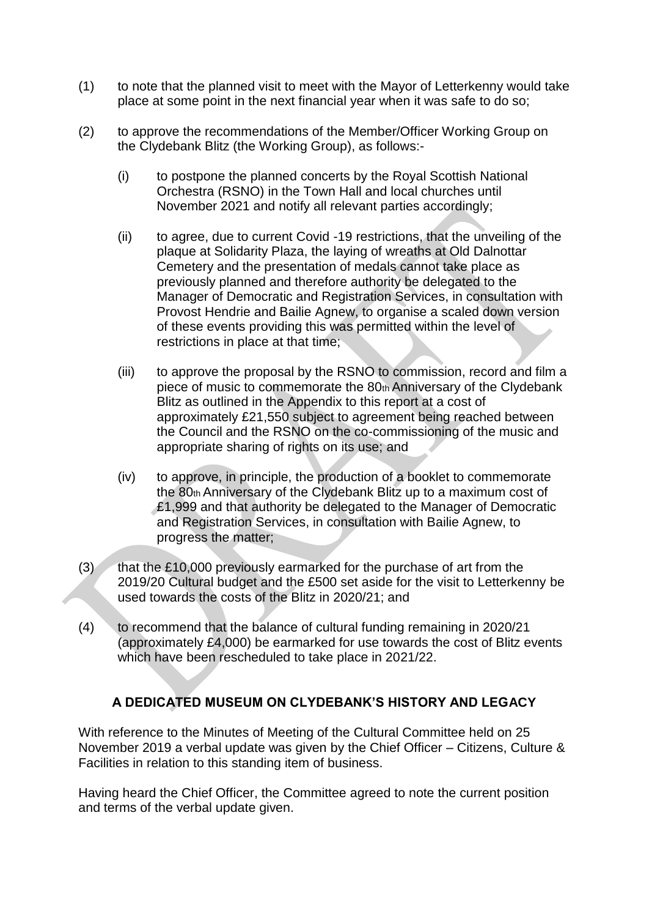- (1) to note that the planned visit to meet with the Mayor of Letterkenny would take place at some point in the next financial year when it was safe to do so;
- (2) to approve the recommendations of the Member/Officer Working Group on the Clydebank Blitz (the Working Group), as follows:-
	- (i) to postpone the planned concerts by the Royal Scottish National Orchestra (RSNO) in the Town Hall and local churches until November 2021 and notify all relevant parties accordingly;
	- (ii) to agree, due to current Covid -19 restrictions, that the unveiling of the plaque at Solidarity Plaza, the laying of wreaths at Old Dalnottar Cemetery and the presentation of medals cannot take place as previously planned and therefore authority be delegated to the Manager of Democratic and Registration Services, in consultation with Provost Hendrie and Bailie Agnew, to organise a scaled down version of these events providing this was permitted within the level of restrictions in place at that time;
	- (iii) to approve the proposal by the RSNO to commission, record and film a piece of music to commemorate the  $80<sub>th</sub>$  Anniversary of the Clydebank Blitz as outlined in the Appendix to this report at a cost of approximately £21,550 subject to agreement being reached between the Council and the RSNO on the co-commissioning of the music and appropriate sharing of rights on its use; and
	- (iv) to approve, in principle, the production of a booklet to commemorate the 80th Anniversary of the Clydebank Blitz up to a maximum cost of £1,999 and that authority be delegated to the Manager of Democratic and Registration Services, in consultation with Bailie Agnew, to progress the matter;
- $(3)$  that the £10,000 previously earmarked for the purchase of art from the 2019/20 Cultural budget and the £500 set aside for the visit to Letterkenny be used towards the costs of the Blitz in 2020/21; and
- (4) to recommend that the balance of cultural funding remaining in 2020/21 (approximately £4,000) be earmarked for use towards the cost of Blitz events which have been rescheduled to take place in 2021/22.

## **A DEDICATED MUSEUM ON CLYDEBANK'S HISTORY AND LEGACY**

With reference to the Minutes of Meeting of the Cultural Committee held on 25 November 2019 a verbal update was given by the Chief Officer – Citizens, Culture & Facilities in relation to this standing item of business.

Having heard the Chief Officer, the Committee agreed to note the current position and terms of the verbal update given.